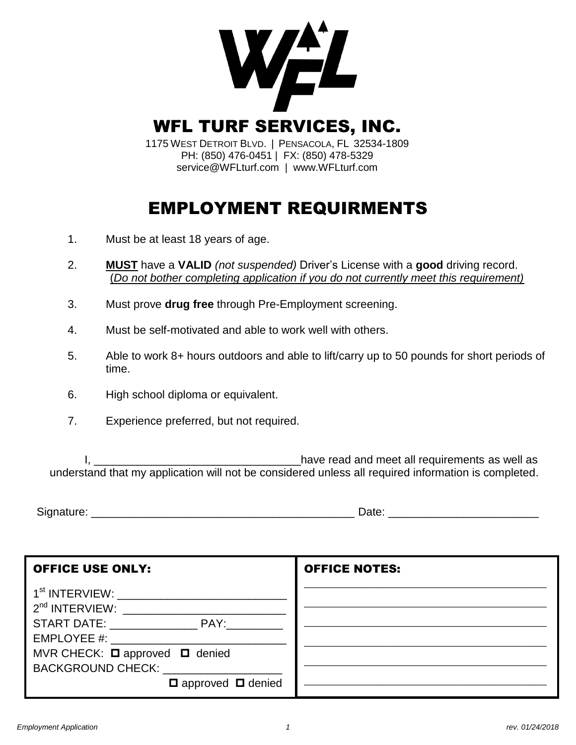

# EMPLOYMENT REQUIRMENTS

- 1. Must be at least 18 years of age.
- 2. **MUST** have a **VALID** *(not suspended)* Driver's License with a **good** driving record. (*Do not bother completing application if you do not currently meet this requirement)*
- 3. Must prove **drug free** through Pre-Employment screening.
- 4. Must be self-motivated and able to work well with others.
- 5. Able to work 8+ hours outdoors and able to lift/carry up to 50 pounds for short periods of time.
- 6. High school diploma or equivalent.
- 7. Experience preferred, but not required.

I, \_\_\_\_\_\_\_\_\_\_\_\_\_\_\_\_\_\_\_\_\_\_\_\_\_\_\_\_\_\_\_\_\_have read and meet all requirements as well as understand that my application will not be considered unless all required information is completed.

Signature: \_\_\_\_\_\_\_\_\_\_\_\_\_\_\_\_\_\_\_\_\_\_\_\_\_\_\_\_\_\_\_\_\_\_\_\_\_\_\_\_\_\_ Date: \_\_\_\_\_\_\_\_\_\_\_\_\_\_\_\_\_\_\_\_\_\_\_\_

| <b>OFFICE USE ONLY:</b>                                                                     | <b>OFFICE NOTES:</b> |
|---------------------------------------------------------------------------------------------|----------------------|
| 1 <sup>st</sup> INTERVIEW: _______________________<br>$2nd$ INTERVIEW:                      |                      |
| START DATE: PAY:<br>EMPLOYEE #:                                                             |                      |
| MVR CHECK: □ approved □ denied<br><b>BACKGROUND CHECK:</b><br>$\Box$ approved $\Box$ denied |                      |
|                                                                                             |                      |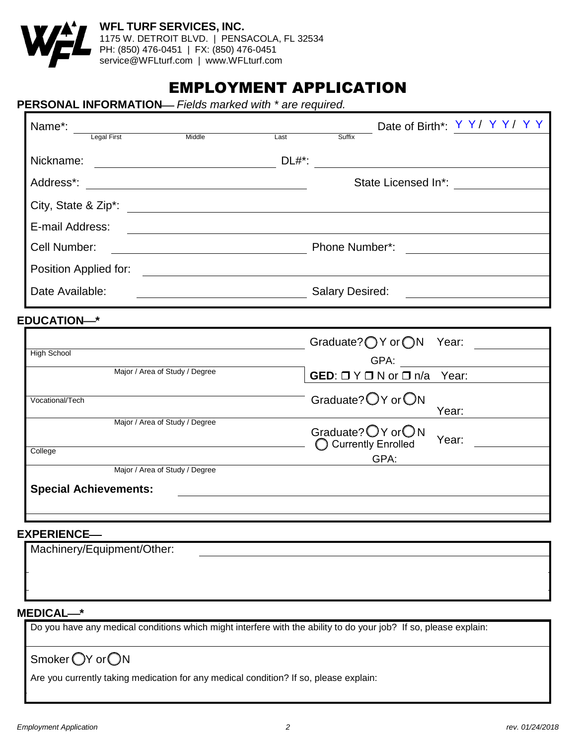

### EMPLOYMENT APPLICATION

#### **PERSONAL INFORMATION** *Fields marked with \* are required.*

| Name*:<br>Legal First                                                                                                                | Date of Birth*: Y Y / Y Y / Y Y                                              |  |
|--------------------------------------------------------------------------------------------------------------------------------------|------------------------------------------------------------------------------|--|
| Middle                                                                                                                               | Last<br>Suffix                                                               |  |
|                                                                                                                                      | $DL#$ *:                                                                     |  |
|                                                                                                                                      | State Licensed In*:                                                          |  |
|                                                                                                                                      |                                                                              |  |
| E-mail Address:                                                                                                                      |                                                                              |  |
| Cell Number:<br><u> 1980 - Johann Barn, mars eta bainar eta bainar eta baina eta baina eta baina eta baina eta baina eta baina e</u> | Phone Number*:                                                               |  |
|                                                                                                                                      |                                                                              |  |
| Date Available:                                                                                                                      | <b>Salary Desired:</b><br><u> 1989 - John Stone, Amerikaansk politiker (</u> |  |
| <b>EDUCATION-*</b>                                                                                                                   |                                                                              |  |
|                                                                                                                                      | Graduate? $\bigcirc$ Y or $\bigcirc$ N Year:                                 |  |
| High School                                                                                                                          |                                                                              |  |
| Major / Area of Study / Degree                                                                                                       | GED: $\Box$ Y $\Box$ N or $\Box$ n/a Year:                                   |  |
| Vocational/Tech                                                                                                                      | Graduate? OY or ON<br>Year:                                                  |  |
| Major / Area of Study / Degree                                                                                                       | Graduate? O Y or O N<br>Year:                                                |  |
| College                                                                                                                              | ◯ Currently Enrolled<br>GPA:                                                 |  |
| Major / Area of Study / Degree                                                                                                       |                                                                              |  |
| <b>Special Achievements:</b>                                                                                                         |                                                                              |  |
|                                                                                                                                      |                                                                              |  |

#### **EXPERIENCE**

| Machinery/Equipment/Other: |  |
|----------------------------|--|
|                            |  |
|                            |  |
|                            |  |

#### **MEDICAL\***

Do you have any medical conditions which might interfere with the ability to do your job? If so, please explain:

Smoker OY or ON

Are you currently taking medication for any medical condition? If so, please explain: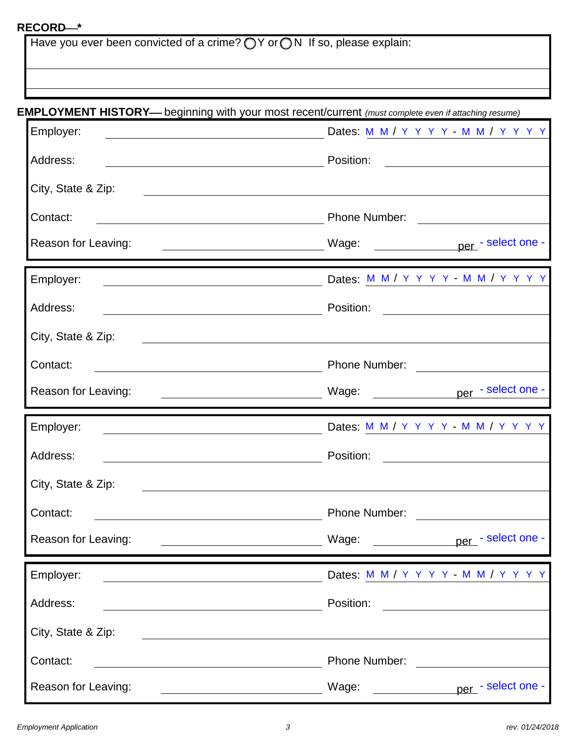#### **RECORD\***

Have you ever been convicted of a crime?  $\bigcirc$  Y or  $\bigcirc$  N If so, please explain:

#### **EMPLOYMENT HISTORY** beginning with your most recent/current *(must complete even if attaching resume)*

| Employer:                                                                                                                          | Dates: M M / Y Y Y Y M M / Y Y Y Y                                                                                                                                                                                                                                                                                                                                           |
|------------------------------------------------------------------------------------------------------------------------------------|------------------------------------------------------------------------------------------------------------------------------------------------------------------------------------------------------------------------------------------------------------------------------------------------------------------------------------------------------------------------------|
| Address:<br><u> 1989 - Johann Stoff, deutscher Stoffen und der Stoffen und der Stoffen und der Stoffen und der Stoffen und der</u> | Position:<br><u> 1989 - Andrea Station Books, amerikansk politik (</u>                                                                                                                                                                                                                                                                                                       |
| City, State & Zip:                                                                                                                 | <u> 1989 - Johann Stoff, deutscher Stoffen und der Stoffen und der Stoffen und der Stoffen und der Stoffen und der</u>                                                                                                                                                                                                                                                       |
| Contact:                                                                                                                           |                                                                                                                                                                                                                                                                                                                                                                              |
| Reason for Leaving:<br><u> 1980 - Andrea Station, amerikansk politik (d. 1980)</u>                                                 |                                                                                                                                                                                                                                                                                                                                                                              |
| Employer:                                                                                                                          | Dates: M M / Y Y Y Y - M M / Y Y Y Y                                                                                                                                                                                                                                                                                                                                         |
| Address:                                                                                                                           | Position:<br><u> 1989 - Andrea Station Books, amerikansk politik (</u>                                                                                                                                                                                                                                                                                                       |
| City, State & Zip:                                                                                                                 | <u> 1989 - Andrea State Barbara, amerikan personal di sebagai personal di sebagai personal di sebagai personal di</u>                                                                                                                                                                                                                                                        |
| Contact:<br><u> 1989 - Johann Barn, mars eta bainar eta baina eta baina eta baina eta baina eta baina eta baina eta baina e</u>    |                                                                                                                                                                                                                                                                                                                                                                              |
| Reason for Leaving:                                                                                                                | per - select one -<br>Wage: when the contract of the contract of the contract of the contract of the contract of the contract of the contract of the contract of the contract of the contract of the contract of the contract of the contract of the<br><u> 1989 - Andrea Barbara, poeta esperanto-poeta esperanto-poeta esperanto-poeta esperanto-poeta esperanto-poeta</u> |
|                                                                                                                                    |                                                                                                                                                                                                                                                                                                                                                                              |
| Employer:                                                                                                                          | Dates: M M / Y Y Y Y - M M / Y Y Y Y                                                                                                                                                                                                                                                                                                                                         |
| Address:<br><u> 1989 - Johann Barn, fransk politik amerikansk politik (</u>                                                        | Position:                                                                                                                                                                                                                                                                                                                                                                    |
| City, State & Zip:                                                                                                                 | <u> 1989 - Johann Stoff, deutscher Stoffen und der Stoffen und der Stoffen und der Stoffen und der Stoffen und der</u>                                                                                                                                                                                                                                                       |
| Contact:                                                                                                                           | <b>Phone Number:</b>                                                                                                                                                                                                                                                                                                                                                         |
| Reason for Leaving:                                                                                                                | per - select one -<br>Wage:                                                                                                                                                                                                                                                                                                                                                  |
| Employer:                                                                                                                          | Dates: M M / Y Y Y Y - M M / Y Y Y Y                                                                                                                                                                                                                                                                                                                                         |
| Address:                                                                                                                           | Position:                                                                                                                                                                                                                                                                                                                                                                    |
| City, State & Zip:                                                                                                                 |                                                                                                                                                                                                                                                                                                                                                                              |
| Contact:                                                                                                                           | Phone Number:                                                                                                                                                                                                                                                                                                                                                                |